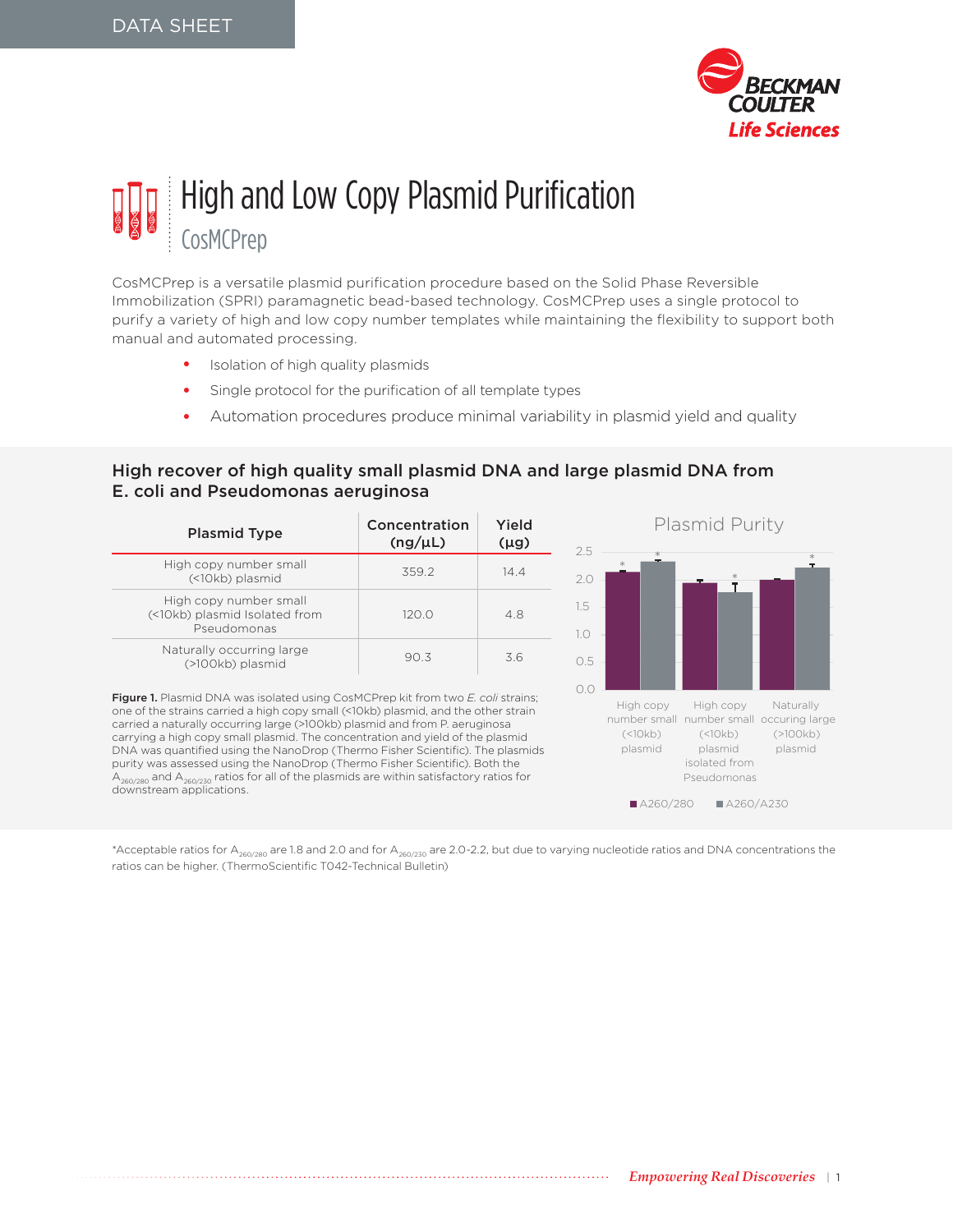

# High and Low Copy Plasmid Purification CosMCPrep

CosMCPrep is a versatile plasmid purification procedure based on the Solid Phase Reversible Immobilization (SPRI) paramagnetic bead-based technology. CosMCPrep uses a single protocol to purify a variety of high and low copy number templates while maintaining the flexibility to support both manual and automated processing.

- Isolation of high quality plasmids
- Single protocol for the purification of all template types
- Automation procedures produce minimal variability in plasmid yield and quality

## High recover of high quality small plasmid DNA and large plasmid DNA from E. coli and Pseudomonas aeruginosa

| <b>Plasmid Type</b>                                                    | Concentration<br>(ng/µL) | Yield<br>$(\mu g)$ |
|------------------------------------------------------------------------|--------------------------|--------------------|
| High copy number small<br>(<10kb) plasmid                              | 359.2                    | 144                |
| High copy number small<br>(<10kb) plasmid Isolated from<br>Pseudomonas | 120.0                    | 4.8                |
| Naturally occurring large<br>(>100kb) plasmid                          | 903                      | 3.6                |

Figure 1. Plasmid DNA was isolated using CosMCPrep kit from two *E. coli* strains; one of the strains carried a high copy small (<10kb) plasmid, and the other strain carried a naturally occurring large (>100kb) plasmid and from P. aeruginosa carrying a high copy small plasmid. The concentration and yield of the plasmid DNA was quantified using the NanoDrop (Thermo Fisher Scientific). The plasmids purity was assessed using the NanoDrop (Thermo Fisher Scientific). Both the A<sub>260/280</sub> and A<sub>260/230</sub> ratios for all of the plasmids are within satisfactory ratios for<br>downstream applications.



\*Acceptable ratios for A<sub>260/280</sub> are 1.8 and 2.0 and for A<sub>260/230</sub> are 2.0-2.2, but due to varying nucleotide ratios and DNA concentrations the ratios can be higher. (ThermoScientific T042-Technical Bulletin)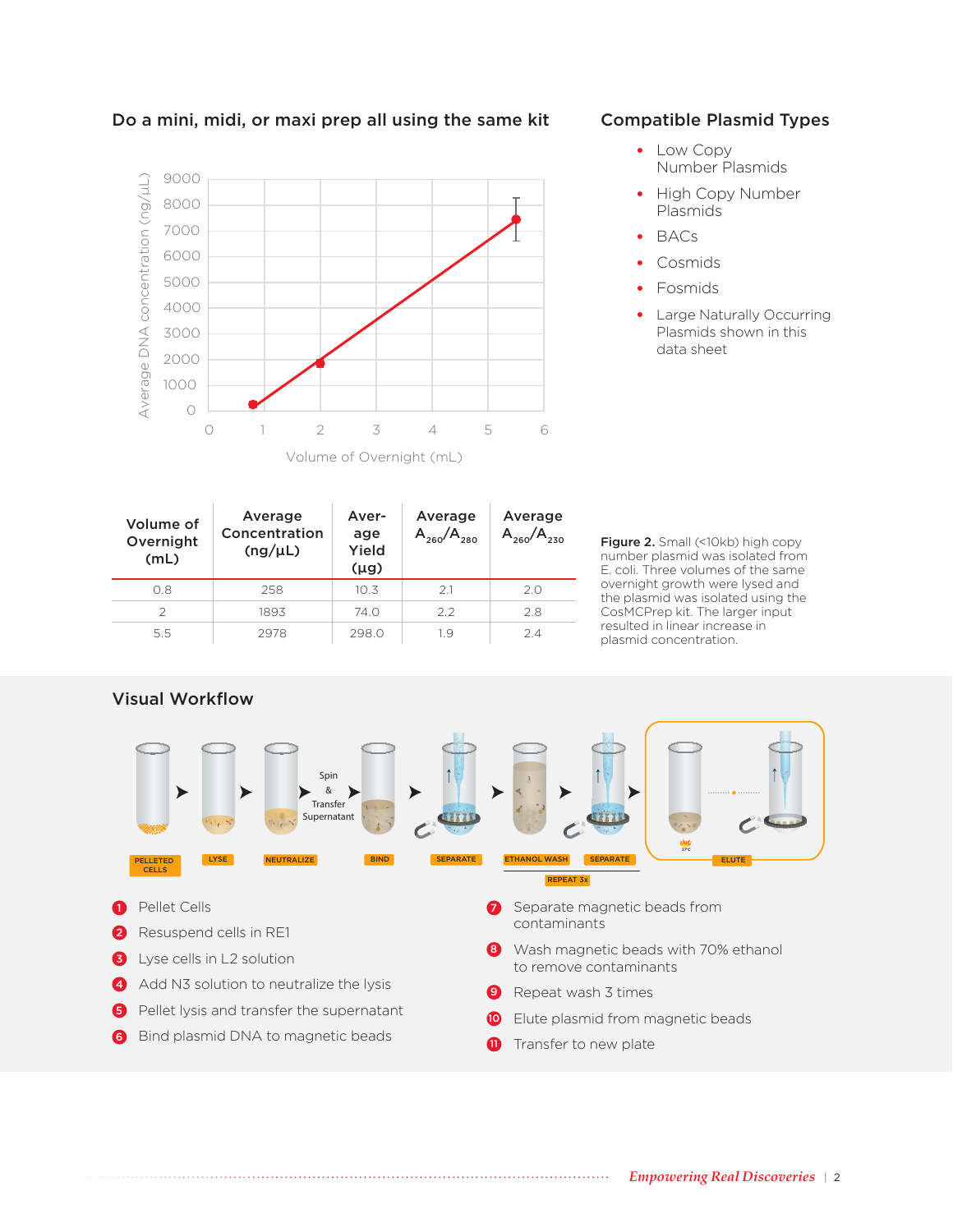

Do a mini, midi, or maxi prep all using the same kit

# Compatible Plasmid Types

- Low Copy Number Plasmids
- High Copy Number Plasmids
- BACs
- Cosmids
- Fosmids
- Large Naturally Occurring Plasmids shown in this data sheet

| Volume of<br>Overnight<br>(mL) | Average<br>Concentration<br>(ng/µL) | Aver-<br>age<br>Yield<br>$(\mu g)$ | Average<br>$A_{260}/A_{280}$ | Average<br>$A_{260}$ |
|--------------------------------|-------------------------------------|------------------------------------|------------------------------|----------------------|
| 0.8                            | 258                                 | 10.3                               | 21                           | 20                   |
| $\mathcal{P}$                  | 1893                                | 74.O                               | 22                           | 2.8                  |
| 5.5                            | 2978                                | 298.0                              | 19                           | 24                   |

Figure 2. Small (<10kb) high copy number plasmid was isolated from E. coli. Three volumes of the same overnight growth were lysed and the plasmid was isolated using the CosMCPrep kit. The larger input resulted in linear increase in plasmid concentration.





**11** Transfer to new plate

6 Bind plasmid DNA to magnetic beads

*Empowering Real Discoveries* | 2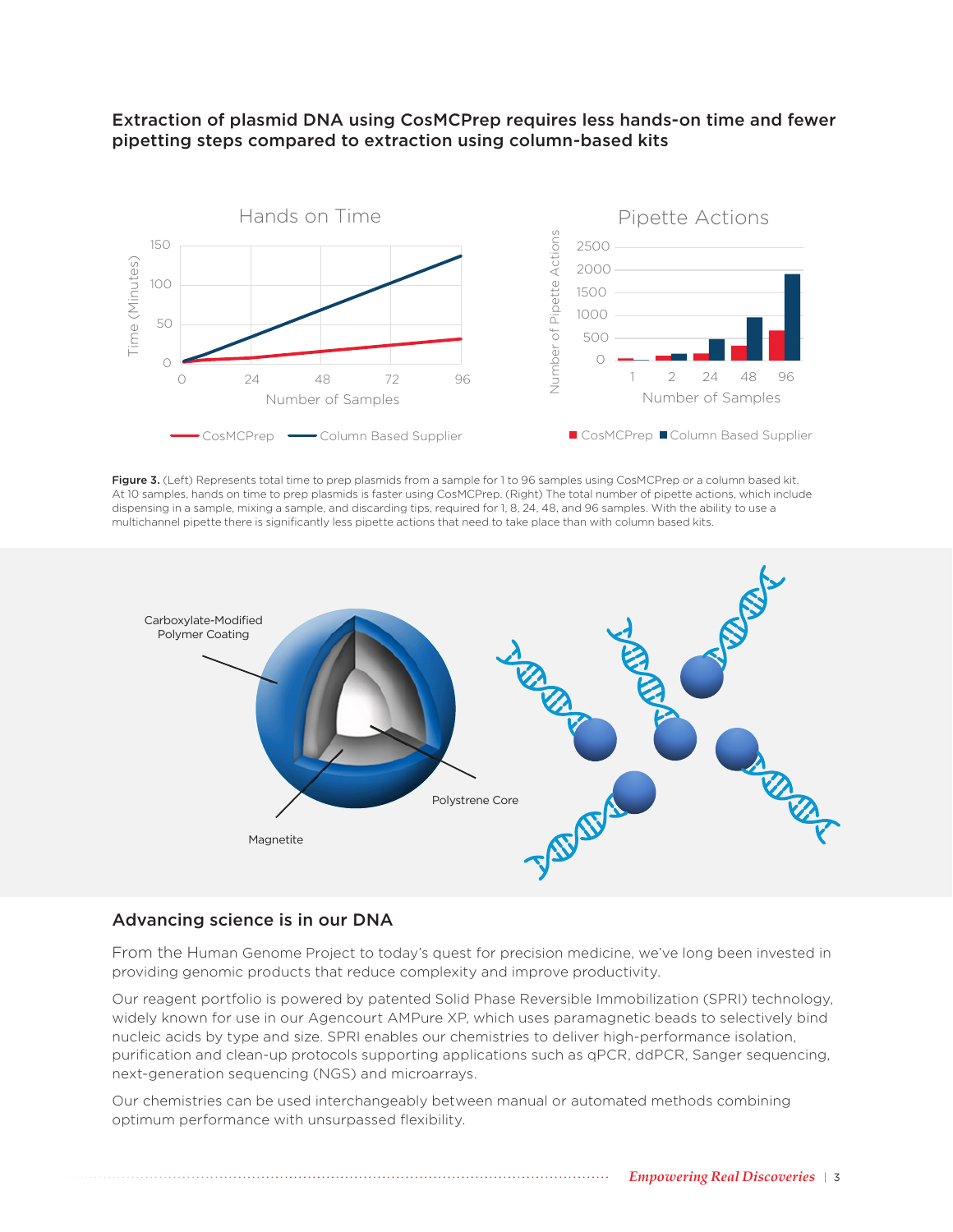

#### Extraction of plasmid DNA using CosMCPrep requires less hands-on time and fewer pipetting steps compared to extraction using column-based kits

Figure 3. (Left) Represents total time to prep plasmids from a sample for 1 to 96 samples using CosMCPrep or a column based kit. At 10 samples, hands on time to prep plasmids is faster using CosMCPrep. (Right) The total number of pipette actions, which include dispensing in a sample, mixing a sample, and discarding tips, required for 1, 8, 24, 48, and 96 samples. With the ability to use a multichannel pipette there is significantly less pipette actions that need to take place than with column based kits.



#### Advancing science is in our DNA

From the Human Genome Project to today's quest for precision medicine, we've long been invested in providing genomic products that reduce complexity and improve productivity.

Our reagent portfolio is powered by patented Solid Phase Reversible Immobilization (SPRI) technology, widely known for use in our Agencourt AMPure XP, which uses paramagnetic beads to selectively bind nucleic acids by type and size. SPRI enables our chemistries to deliver high-performance isolation, purification and clean-up protocols supporting applications such as qPCR, ddPCR, Sanger sequencing, next-generation sequencing (NGS) and microarrays.

Our chemistries can be used interchangeably between manual or automated methods combining optimum performance with unsurpassed flexibility.